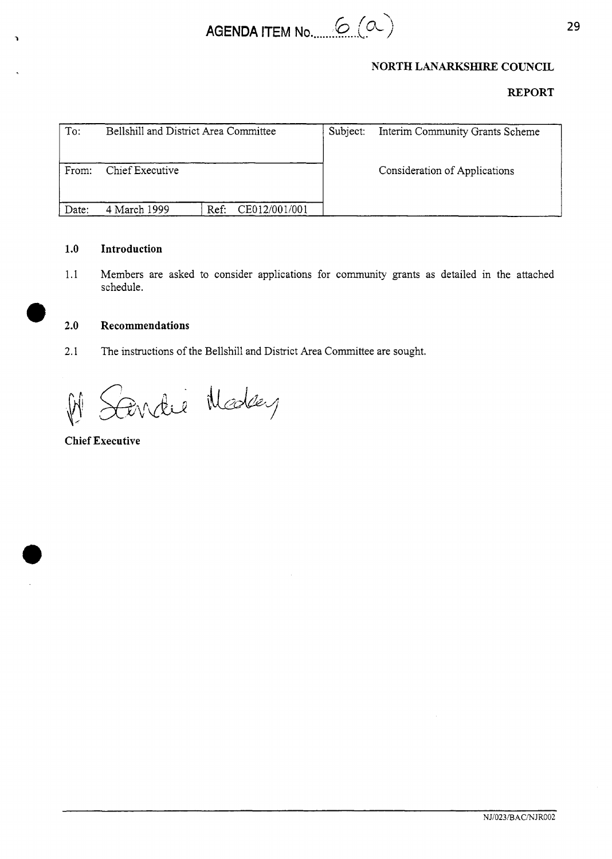

# **REPORT**

|       |                                       |          | NORTH LANARKSHIRE COUNCIL       |  |
|-------|---------------------------------------|----------|---------------------------------|--|
|       |                                       |          | <b>REPORT</b>                   |  |
| To:   | Bellshill and District Area Committee | Subject: | Interim Community Grants Scheme |  |
| From: | Chief Executive                       |          | Consideration of Applications   |  |
| Date: | CE012/001/001<br>4 March 1999<br>Ref: |          |                                 |  |

#### **1.0 Introduction**

1.1 Members are asked to consider applications for community grants as detailed in the attached schedule.

#### *0* **2.0 Recommendations**

2.1 The instructions of the Bellshill and District Area Committee are sought.

Cendre Medey  $\sqrt{\frac{1}{2}}$ 

**Chief Executive** 

**e**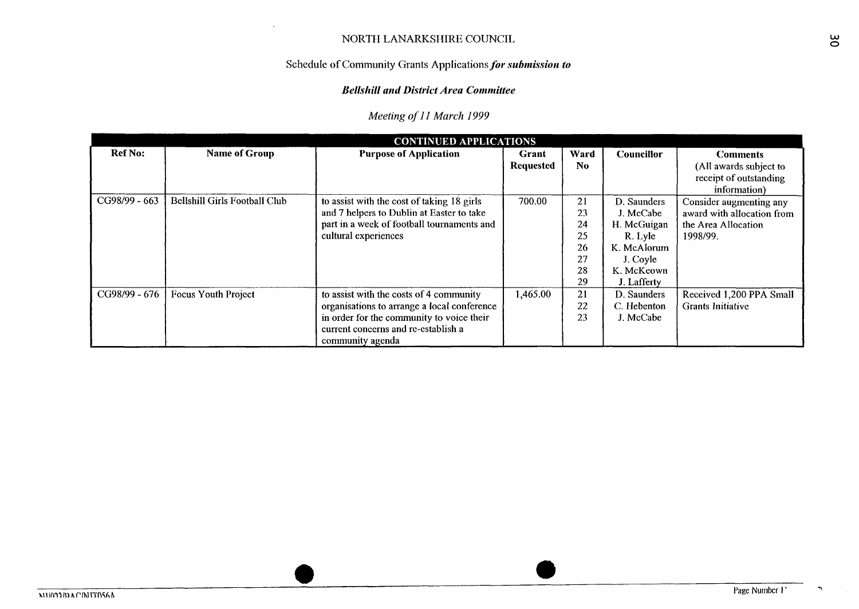# Schedule of Community Grants Applications *for submission to*

#### *Bellshill and District Area Committee*

|                | NORTH LANARKSHIRE COUNCIL            |                                                                                                                                                                                                |                                  |                                              |                                                                                                            |                                                                                          |  |  |  |  |  |  |
|----------------|--------------------------------------|------------------------------------------------------------------------------------------------------------------------------------------------------------------------------------------------|----------------------------------|----------------------------------------------|------------------------------------------------------------------------------------------------------------|------------------------------------------------------------------------------------------|--|--|--|--|--|--|
|                |                                      | Schedule of Community Grants Applications for submission to                                                                                                                                    |                                  |                                              |                                                                                                            |                                                                                          |  |  |  |  |  |  |
|                |                                      | <b>Bellshill and District Area Committee</b>                                                                                                                                                   |                                  |                                              |                                                                                                            |                                                                                          |  |  |  |  |  |  |
|                | Meeting of 11 March 1999             |                                                                                                                                                                                                |                                  |                                              |                                                                                                            |                                                                                          |  |  |  |  |  |  |
|                |                                      | <b>CONTINUED APPLICATIONS</b>                                                                                                                                                                  |                                  |                                              |                                                                                                            |                                                                                          |  |  |  |  |  |  |
| <b>Ref No:</b> | <b>Name of Group</b>                 | <b>Purpose of Application</b>                                                                                                                                                                  | <b>Grant</b><br><b>Requested</b> | Ward<br>N <sub>0</sub>                       | Councillor                                                                                                 | <b>Comments</b><br>(All awards subject to<br>receipt of outstanding<br>information)      |  |  |  |  |  |  |
| CG98/99 - 663  | <b>Bellshill Girls Football Club</b> | to assist with the cost of taking 18 girls<br>and 7 helpers to Dublin at Easter to take<br>part in a week of football tournaments and<br>cultural experiences                                  | 700.00                           | 21<br>23<br>24<br>25<br>26<br>27<br>28<br>29 | D. Saunders<br>J. McCabe<br>H. McGuigan<br>R. Lyle<br>K. McAlorum<br>J. Coyle<br>K. McKeown<br>J. Lafferty | Consider augmenting any<br>award with allocation from<br>the Area Allocation<br>1998/99. |  |  |  |  |  |  |
| CG98/99 - 676  | <b>Focus Youth Project</b>           | to assist with the costs of 4 community<br>organisations to arrange a local conference<br>in order for the community to voice their<br>current concerns and re-establish a<br>community agenda | 1,465.00                         | 21<br>22<br>23                               | D. Saunders<br>C. Hebenton<br>J. McCabe                                                                    | Received 1,200 PPA Small<br><b>Grants Initiative</b>                                     |  |  |  |  |  |  |

٠,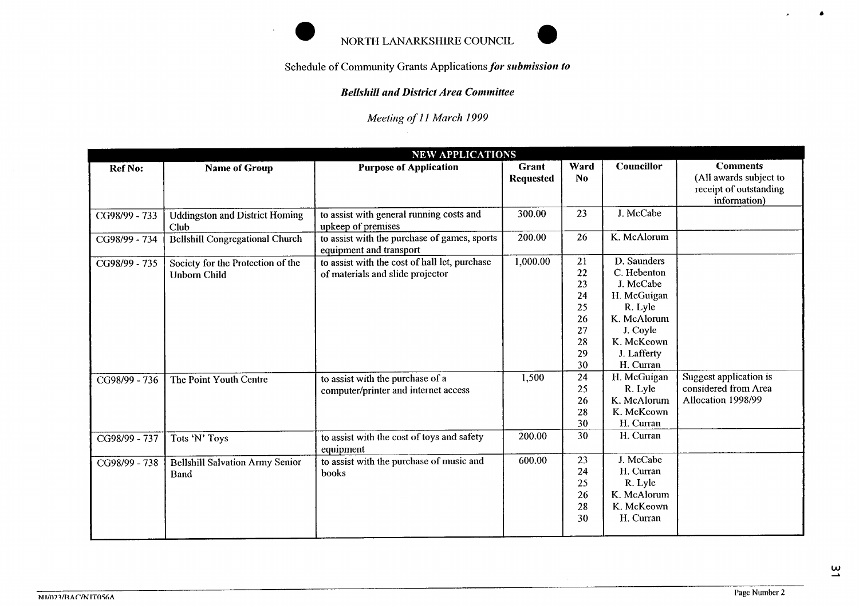

# *Bellsliill arid District Area Conrniittee*

| NORTH LANARKSHIRE COUNCIL<br>Schedule of Community Grants Applications for submission to<br><b>Bellshill and District Area Committee</b><br>Meeting of 11 March 1999 |                                                          |                                                                                   |                           |                                                          |                                                                                                                                        |                                                                                     |  |  |  |  |  |
|----------------------------------------------------------------------------------------------------------------------------------------------------------------------|----------------------------------------------------------|-----------------------------------------------------------------------------------|---------------------------|----------------------------------------------------------|----------------------------------------------------------------------------------------------------------------------------------------|-------------------------------------------------------------------------------------|--|--|--|--|--|
|                                                                                                                                                                      |                                                          |                                                                                   |                           |                                                          |                                                                                                                                        |                                                                                     |  |  |  |  |  |
|                                                                                                                                                                      |                                                          | <b>NEW APPLICATIONS</b>                                                           |                           |                                                          |                                                                                                                                        |                                                                                     |  |  |  |  |  |
| <b>Ref No:</b>                                                                                                                                                       | <b>Name of Group</b>                                     | <b>Purpose of Application</b>                                                     | Grant<br><b>Requested</b> | Ward<br><b>No</b>                                        | Councillor                                                                                                                             | <b>Comments</b><br>(All awards subject to<br>receipt of outstanding<br>information) |  |  |  |  |  |
| CG98/99 - 733                                                                                                                                                        | <b>Uddingston and District Homing</b><br>Club            | to assist with general running costs and<br>upkeep of premises                    | 300.00                    | 23                                                       | J. McCabe                                                                                                                              |                                                                                     |  |  |  |  |  |
| CG98/99 - 734                                                                                                                                                        | <b>Bellshill Congregational Church</b>                   | to assist with the purchase of games, sports<br>equipment and transport           | 200.00                    | 26                                                       | K. McAlorum                                                                                                                            |                                                                                     |  |  |  |  |  |
| CG98/99 - 735                                                                                                                                                        | Society for the Protection of the<br><b>Unborn Child</b> | to assist with the cost of hall let, purchase<br>of materials and slide projector | 1,000.00                  | 21<br>22<br>23<br>24<br>25<br>26<br>27<br>28<br>29<br>30 | D. Saunders<br>C. Hebenton<br>J. McCabe<br>H. McGuigan<br>R. Lyle<br>K. McAlorum<br>J. Coyle<br>K. McKeown<br>J. Lafferty<br>H. Curran |                                                                                     |  |  |  |  |  |
| CG98/99 - 736                                                                                                                                                        | The Point Youth Centre                                   | to assist with the purchase of a<br>computer/printer and internet access          | 1,500                     | 24<br>25<br>26<br>28<br>30                               | H. McGuigan<br>R. Lyle<br>K. McAlorum<br>K. McKeown<br>H. Curran                                                                       | Suggest application is<br>considered from Area<br>Allocation 1998/99                |  |  |  |  |  |
| CG98/99 - 737                                                                                                                                                        | Tots 'N' Toys                                            | to assist with the cost of toys and safety<br>equipment                           | 200.00                    | 30                                                       | H. Curran                                                                                                                              |                                                                                     |  |  |  |  |  |
| CG98/99 - 738                                                                                                                                                        | <b>Bellshill Salvation Army Senior</b><br>Band           | to assist with the purchase of music and<br>books                                 | 600.00                    | 23<br>24<br>25<br>26<br>28<br>30                         | J. McCabe<br>H. Curran<br>R. Lyle<br>K. McAlorum<br>K. McKeown<br>H. Curran                                                            |                                                                                     |  |  |  |  |  |

 $\tilde{\mathbf{a}}$ 

 $\blacktriangle$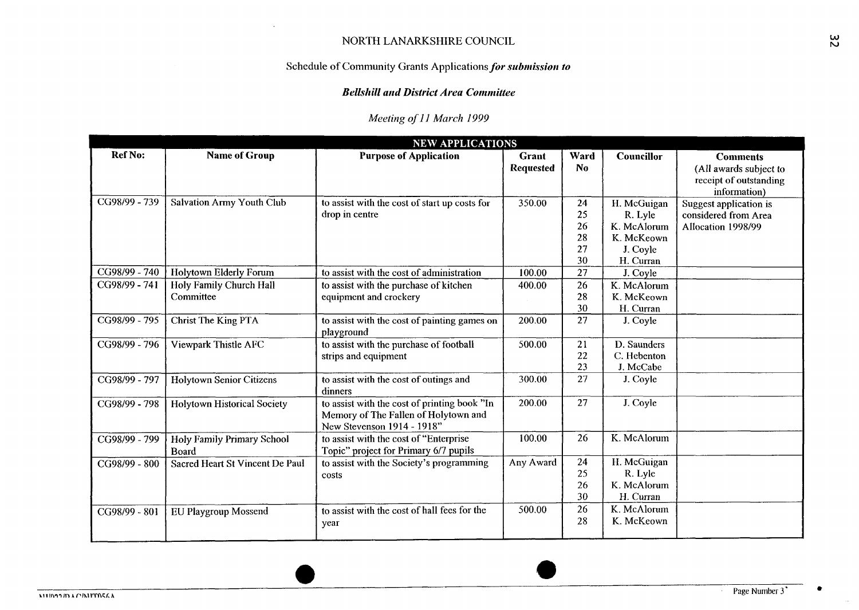# Schedule of Community Grants Applications *for submission to*

#### *Bellshill and District Area Committee*

|                |                                              | NORTH LANARKSHIRE COUNCIL<br>Schedule of Community Grants Applications for submission to                           |                           |                                  |                                                                              |                                                                                     |  |  |  |  |  |  |
|----------------|----------------------------------------------|--------------------------------------------------------------------------------------------------------------------|---------------------------|----------------------------------|------------------------------------------------------------------------------|-------------------------------------------------------------------------------------|--|--|--|--|--|--|
|                | <b>Bellshill and District Area Committee</b> |                                                                                                                    |                           |                                  |                                                                              |                                                                                     |  |  |  |  |  |  |
|                | Meeting of 11 March 1999                     |                                                                                                                    |                           |                                  |                                                                              |                                                                                     |  |  |  |  |  |  |
|                |                                              | <b>NEW APPLICATIONS</b>                                                                                            |                           |                                  |                                                                              |                                                                                     |  |  |  |  |  |  |
| <b>Ref No:</b> | <b>Name of Group</b>                         | <b>Purpose of Application</b>                                                                                      | Grant<br><b>Requested</b> | Ward<br>N <sub>0</sub>           | Councillor                                                                   | <b>Comments</b><br>(All awards subject to<br>receipt of outstanding<br>information) |  |  |  |  |  |  |
| CG98/99 - 739  | <b>Salvation Army Youth Club</b>             | to assist with the cost of start up costs for<br>drop in centre                                                    | 350.00                    | 24<br>25<br>26<br>28<br>27<br>30 | H. McGuigan<br>R. Lyle<br>K. McAlorum<br>K. McKeown<br>J. Coyle<br>H. Curran | Suggest application is<br>considered from Area<br>Allocation 1998/99                |  |  |  |  |  |  |
| CG98/99 - 740  | Holytown Elderly Forum                       | to assist with the cost of administration                                                                          | 100.00                    | 27                               | J. Coyle                                                                     |                                                                                     |  |  |  |  |  |  |
| CG98/99 - 741  | Holy Family Church Hall<br>Committee         | to assist with the purchase of kitchen<br>equipment and crockery                                                   | 400.00                    | 26<br>28<br>30                   | K. McAlorum<br>K. McKeown<br>H. Curran                                       |                                                                                     |  |  |  |  |  |  |
| CG98/99 - 795  | Christ The King PTA                          | to assist with the cost of painting games on<br>playground                                                         | 200.00                    | 27                               | J. Coyle                                                                     |                                                                                     |  |  |  |  |  |  |
| CG98/99 - 796  | Viewpark Thistle AFC                         | to assist with the purchase of football<br>strips and equipment                                                    | 500.00                    | 21<br>22<br>23                   | D. Saunders<br>C. Hebenton<br>J. McCabe                                      |                                                                                     |  |  |  |  |  |  |
| CG98/99 - 797  | <b>Holytown Senior Citizens</b>              | to assist with the cost of outings and<br>dinners                                                                  | 300.00                    | 27                               | J. Coyle                                                                     |                                                                                     |  |  |  |  |  |  |
| CG98/99 - 798  | Holytown Historical Society                  | to assist with the cost of printing book "In<br>Memory of The Fallen of Holytown and<br>New Stevenson 1914 - 1918" | 200.00                    | 27                               | J. Coyle                                                                     |                                                                                     |  |  |  |  |  |  |
| CG98/99 - 799  | Holy Family Primary School<br>Board          | to assist with the cost of "Enterprise<br>Topic" project for Primary 6/7 pupils                                    | 100.00                    | 26                               | K. McAlorum                                                                  |                                                                                     |  |  |  |  |  |  |
| CG98/99 - 800  | Sacred Heart St Vincent De Paul              | to assist with the Society's programming<br>costs                                                                  | Any Award                 | 24<br>25<br>26<br>30             | H. McGuigan<br>R. Lyle<br>K. McAlorum<br>H. Curran                           |                                                                                     |  |  |  |  |  |  |
| CG98/99 - 801  | EU Playgroup Mossend                         | to assist with the cost of hall fees for the<br>year                                                               | 500.00                    | 26<br>28                         | K. McAlorum<br>K. McKeown                                                    |                                                                                     |  |  |  |  |  |  |
|                |                                              |                                                                                                                    |                           |                                  |                                                                              |                                                                                     |  |  |  |  |  |  |

**6**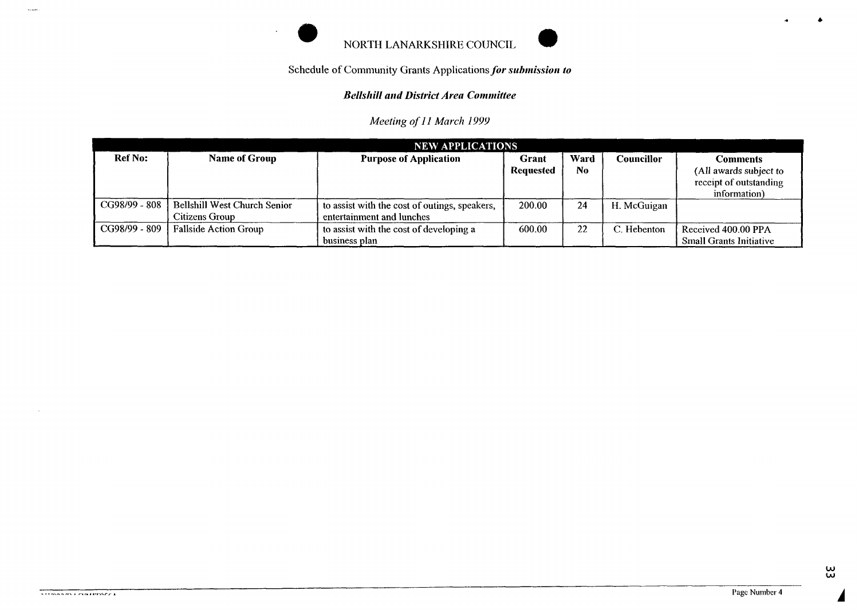

# **Bellshill and District Area Committee**

*Meeting of 1 I March 1999* 

| <b>NEW APPLICATIONS</b> |                                                       |                                                                            |                           |             |             |                                                                              |  |  |  |
|-------------------------|-------------------------------------------------------|----------------------------------------------------------------------------|---------------------------|-------------|-------------|------------------------------------------------------------------------------|--|--|--|
| <b>Ref No:</b>          | Name of Group                                         | <b>Purpose of Application</b>                                              | Grant<br><b>Requested</b> | Ward<br>No. | Councillor  | Comments<br>(All awards subject to<br>receipt of outstanding<br>information) |  |  |  |
| CG98/99 - 808           | <b>Bellshill West Church Senior</b><br>Citizens Group | to assist with the cost of outings, speakers,<br>entertainment and lunches | 200.00                    | 24          | H. McGuigan |                                                                              |  |  |  |
| CG98/99 - 809           | <b>Fallside Action Group</b>                          | to assist with the cost of developing a<br>business plan                   | 600.00                    | 22          | C. Hebenton | Received 400.00 PPA<br><b>Small Grants Initiative</b>                        |  |  |  |

**4**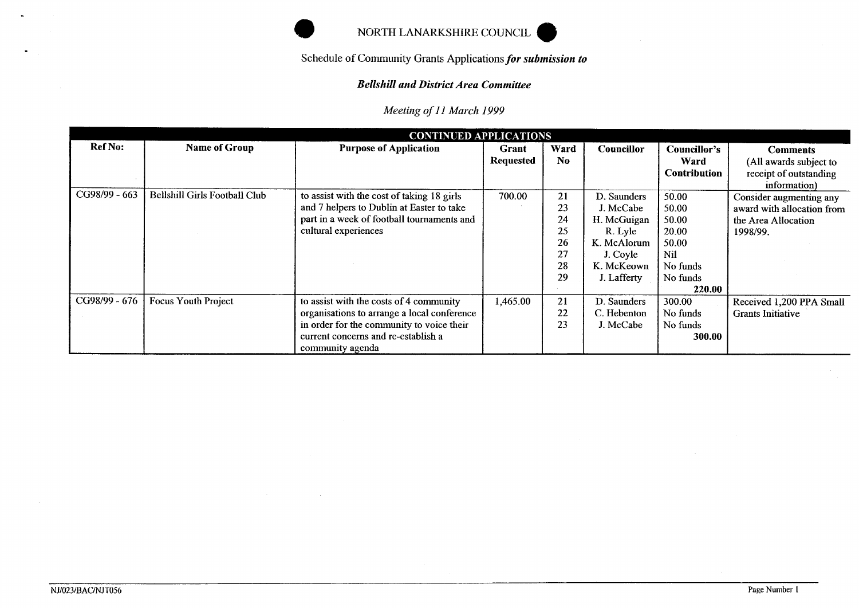

# **Bellshill and District Area Committee**

| Meeting of 11 March 1999      |                               |                                             |                           |                        |                   |                                             |                                                                                     |  |  |  |
|-------------------------------|-------------------------------|---------------------------------------------|---------------------------|------------------------|-------------------|---------------------------------------------|-------------------------------------------------------------------------------------|--|--|--|
| <b>CONTINUED APPLICATIONS</b> |                               |                                             |                           |                        |                   |                                             |                                                                                     |  |  |  |
| <b>Ref No:</b>                | <b>Name of Group</b>          | <b>Purpose of Application</b>               | Grant<br><b>Requested</b> | Ward<br>N <sub>0</sub> | <b>Councillor</b> | Councillor's<br>Ward<br><b>Contribution</b> | <b>Comments</b><br>(All awards subject to<br>receipt of outstanding<br>information) |  |  |  |
| CG98/99 - 663                 | Bellshill Girls Football Club | to assist with the cost of taking 18 girls  | 700.00                    | 21                     | D. Saunders       | 50.00                                       | Consider augmenting any                                                             |  |  |  |
|                               |                               | and 7 helpers to Dublin at Easter to take   |                           | 23                     | J. McCabe         | 50.00                                       | award with allocation from                                                          |  |  |  |
|                               |                               | part in a week of football tournaments and  |                           | 24                     | H. McGuigan       | 50.00                                       | the Area Allocation                                                                 |  |  |  |
|                               |                               | cultural experiences                        |                           | 25                     | R. Lyle           | 20.00                                       | 1998/99.                                                                            |  |  |  |
|                               |                               |                                             |                           | 26                     | K. McAlorum       | 50.00                                       |                                                                                     |  |  |  |
|                               |                               |                                             |                           | 27                     | J. Coyle          | Nil                                         |                                                                                     |  |  |  |
|                               |                               |                                             |                           | 28                     | K. McKeown        | No funds                                    |                                                                                     |  |  |  |
|                               |                               |                                             |                           | 29                     | J. Lafferty       | No funds                                    |                                                                                     |  |  |  |
|                               |                               |                                             |                           |                        |                   | 220.00                                      |                                                                                     |  |  |  |
| CG98/99 - 676                 | Focus Youth Project           | to assist with the costs of 4 community     | 1,465.00                  | 21                     | D. Saunders       | 300.00                                      | Received 1,200 PPA Small                                                            |  |  |  |
|                               |                               | organisations to arrange a local conference |                           | 22                     | C. Hebenton       | No funds                                    | <b>Grants Initiative</b>                                                            |  |  |  |
|                               |                               | in order for the community to voice their   |                           | 23                     | J. McCabe         | No funds                                    |                                                                                     |  |  |  |
|                               |                               | current concerns and re-establish a         |                           |                        |                   | 300.00                                      |                                                                                     |  |  |  |
|                               |                               | community agenda                            |                           |                        |                   |                                             |                                                                                     |  |  |  |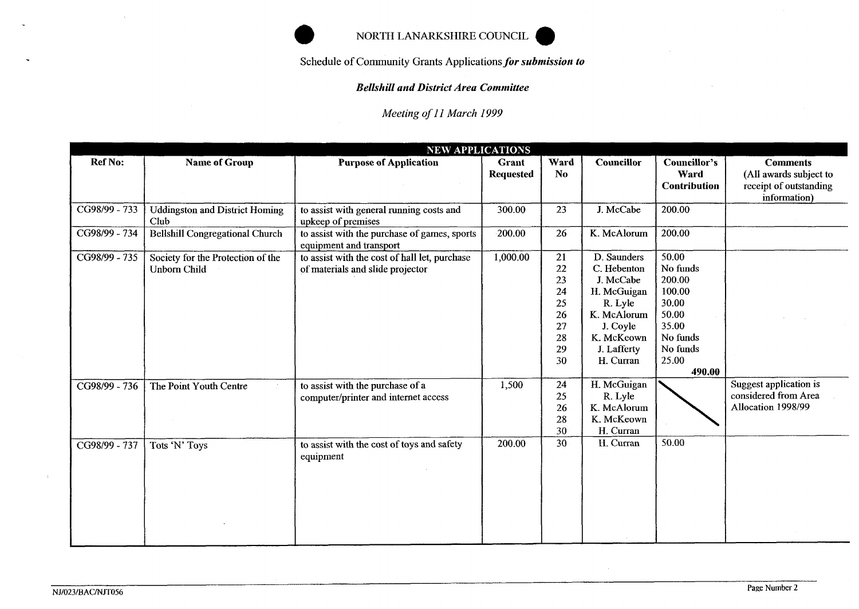# NORTH LANARKSHIRE comcIL **a**

*Schedule* **of** *Community* Grants *Applicationsfor submission to* 

### *Bellshill and District Area Committee*

*Meeting of 1 I March I999* 

| Ref No:       | <b>Name of Group</b>                                     | <b>NEW APPLICATIONS</b><br><b>Purpose of Application</b>                          | Grant<br>Requested | Ward<br>No                                               | <b>Councillor</b>                                                                                                                      | Councillor's<br>Ward<br><b>Contribution</b>                                                                 | <b>Comments</b><br>(All awards subject to<br>receipt of outstanding<br>information) |
|---------------|----------------------------------------------------------|-----------------------------------------------------------------------------------|--------------------|----------------------------------------------------------|----------------------------------------------------------------------------------------------------------------------------------------|-------------------------------------------------------------------------------------------------------------|-------------------------------------------------------------------------------------|
| CG98/99 - 733 | <b>Uddingston and District Homing</b><br>Club            | to assist with general running costs and<br>upkeep of premises                    | 300.00             | 23                                                       | J. McCabe                                                                                                                              | 200.00                                                                                                      |                                                                                     |
| CG98/99 - 734 | <b>Bellshill Congregational Church</b>                   | to assist with the purchase of games, sports<br>equipment and transport           | 200.00             | 26                                                       | K. McAlorum                                                                                                                            | 200.00                                                                                                      |                                                                                     |
| CG98/99 - 735 | Society for the Protection of the<br><b>Unborn Child</b> | to assist with the cost of hall let, purchase<br>of materials and slide projector | 1,000.00           | 21<br>22<br>23<br>24<br>25<br>26<br>27<br>28<br>29<br>30 | D. Saunders<br>C. Hebenton<br>J. McCabe<br>H. McGuigan<br>R. Lyle<br>K. McAlorum<br>J. Coyle<br>K. McKeown<br>J. Lafferty<br>H. Curran | 50.00<br>No funds<br>200.00<br>100.00<br>30.00<br>50.00<br>35.00<br>No funds<br>No funds<br>25.00<br>490.00 |                                                                                     |
| CG98/99 - 736 | The Point Youth Centre                                   | to assist with the purchase of a<br>computer/printer and internet access          | 1,500              | 24<br>25<br>26<br>28<br>30                               | H. McGuigan<br>R. Lyle<br>K. McAlorum<br>K. McKeown<br>H. Curran                                                                       | 50.00                                                                                                       | Suggest application is<br>considered from Area<br>Allocation 1998/99                |
| CG98/99 - 737 | Tots 'N' Toys                                            | to assist with the cost of toys and safety<br>equipment                           | 200.00             | 30                                                       | H. Curran                                                                                                                              |                                                                                                             |                                                                                     |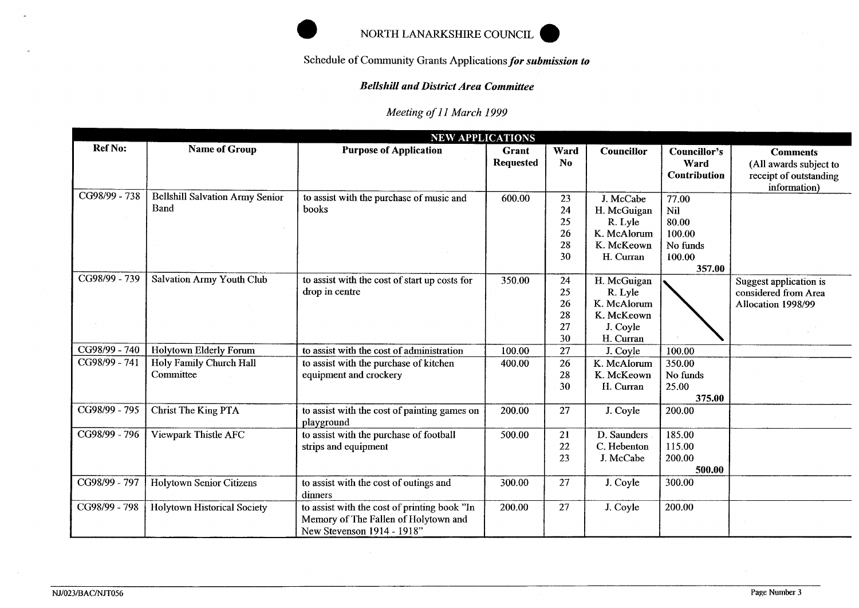

## *Bellskill and District Area Committee*

|               |                                                | NORTH LANARKSHIRE COUNCIL                                                                                          |                           |                                  |                                                                               |                                                                 |                                                                                     |
|---------------|------------------------------------------------|--------------------------------------------------------------------------------------------------------------------|---------------------------|----------------------------------|-------------------------------------------------------------------------------|-----------------------------------------------------------------|-------------------------------------------------------------------------------------|
|               |                                                | Schedule of Community Grants Applications for submission to                                                        |                           |                                  |                                                                               |                                                                 |                                                                                     |
|               |                                                | <b>Bellshill and District Area Committee</b>                                                                       |                           |                                  |                                                                               |                                                                 |                                                                                     |
|               |                                                | Meeting of 11 March 1999                                                                                           |                           |                                  |                                                                               |                                                                 |                                                                                     |
|               |                                                | <b>NEW APPLICATIONS</b>                                                                                            |                           |                                  |                                                                               |                                                                 |                                                                                     |
| Ref No:       | <b>Name of Group</b>                           | <b>Purpose of Application</b>                                                                                      | Grant<br><b>Requested</b> | Ward<br>N <sub>0</sub>           | Councillor                                                                    | Councillor's<br>Ward<br><b>Contribution</b>                     | <b>Comments</b><br>(All awards subject to<br>receipt of outstanding<br>information) |
| CG98/99 - 738 | <b>Bellshill Salvation Army Senior</b><br>Band | to assist with the purchase of music and<br>books                                                                  | 600.00                    | 23<br>24<br>25<br>26<br>28<br>30 | J. McCabe<br>H. McGuigan<br>R. Lyle<br>K. McAlorum<br>K. McKeown<br>H. Curran | 77.00<br>Nil<br>80.00<br>100.00<br>No funds<br>100.00<br>357.00 |                                                                                     |
| CG98/99 - 739 | <b>Salvation Army Youth Club</b>               | to assist with the cost of start up costs for<br>drop in centre                                                    | 350.00                    | 24<br>25<br>26<br>28<br>27<br>30 | H. McGuigan<br>R. Lyle<br>K. McAlorum<br>K. McKeown<br>J. Coyle<br>H. Curran  |                                                                 | Suggest application is<br>considered from Area<br>Allocation 1998/99                |
| CG98/99 - 740 | Holytown Elderly Forum                         | to assist with the cost of administration                                                                          | 100.00                    | 27                               | J. Coyle                                                                      | 100.00                                                          |                                                                                     |
| CG98/99 - 741 | Holy Family Church Hall<br>Committee           | to assist with the purchase of kitchen<br>equipment and crockery                                                   | 400.00                    | 26<br>28<br>30                   | K. McAlorum<br>K. McKeown<br>H. Curran                                        | 350.00<br>No funds<br>25.00<br>375.00                           |                                                                                     |
| CG98/99 - 795 | Christ The King PTA                            | to assist with the cost of painting games on<br>playground                                                         | 200.00                    | 27                               | J. Coyle                                                                      | 200.00                                                          |                                                                                     |
| CG98/99 - 796 | Viewpark Thistle AFC                           | to assist with the purchase of football<br>strips and equipment                                                    | 500.00                    | 21<br>22<br>23                   | D. Saunders<br>C. Hebenton<br>J. McCabe                                       | 185.00<br>115.00<br>200.00<br>500.00                            |                                                                                     |
| CG98/99 - 797 | <b>Holytown Senior Citizens</b>                | to assist with the cost of outings and<br>dinners                                                                  | 300.00                    | 27                               | J. Coyle                                                                      | 300.00                                                          |                                                                                     |
| CG98/99 - 798 | <b>Holytown Historical Society</b>             | to assist with the cost of printing book "In<br>Memory of The Fallen of Holytown and<br>New Stevenson 1914 - 1918" | 200.00                    | 27                               | J. Coyle                                                                      | 200.00                                                          |                                                                                     |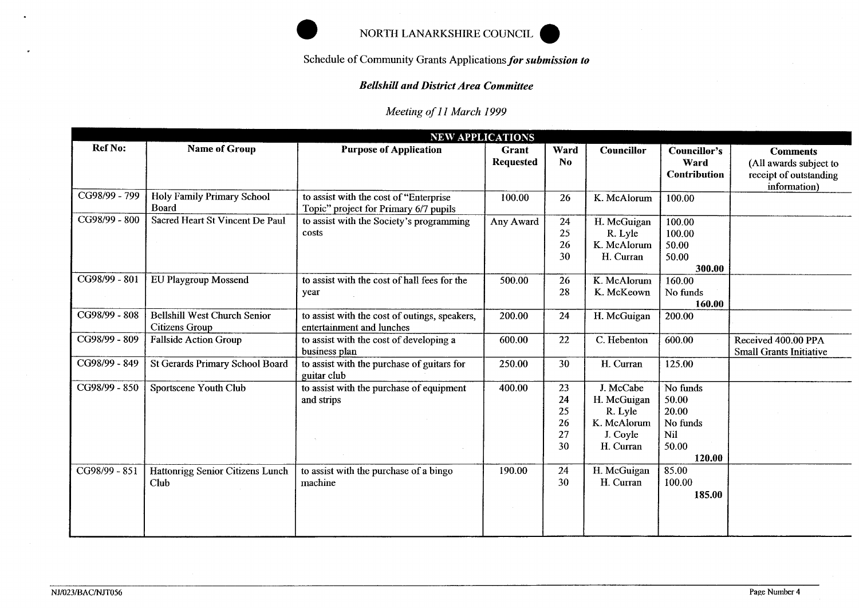

# *Bellshill and District Area Committee*

|                                                             |                                                       | NORTH LANARKSHIRE COUNCIL                                                       |                           |                                  |                                                                             |                                                                  |                                                                                     |  |  |  |
|-------------------------------------------------------------|-------------------------------------------------------|---------------------------------------------------------------------------------|---------------------------|----------------------------------|-----------------------------------------------------------------------------|------------------------------------------------------------------|-------------------------------------------------------------------------------------|--|--|--|
| Schedule of Community Grants Applications for submission to |                                                       |                                                                                 |                           |                                  |                                                                             |                                                                  |                                                                                     |  |  |  |
|                                                             |                                                       | <b>Bellshill and District Area Committee</b>                                    |                           |                                  |                                                                             |                                                                  |                                                                                     |  |  |  |
|                                                             |                                                       | Meeting of 11 March 1999                                                        |                           |                                  |                                                                             |                                                                  |                                                                                     |  |  |  |
|                                                             |                                                       |                                                                                 | <b>NEW APPLICATIONS</b>   |                                  |                                                                             |                                                                  |                                                                                     |  |  |  |
| Ref No:                                                     | <b>Name of Group</b>                                  | <b>Purpose of Application</b>                                                   | Grant<br><b>Requested</b> | Ward<br>N <sub>o</sub>           | <b>Councillor</b>                                                           | <b>Councillor's</b><br>Ward<br><b>Contribution</b>               | <b>Comments</b><br>(All awards subject to<br>receipt of outstanding<br>information) |  |  |  |
| CG98/99 - 799                                               | Holy Family Primary School<br><b>Board</b>            | to assist with the cost of "Enterprise<br>Topic" project for Primary 6/7 pupils | 100.00                    | 26                               | K. McAlorum                                                                 | 100.00                                                           |                                                                                     |  |  |  |
| CG98/99 - 800                                               | Sacred Heart St Vincent De Paul                       | to assist with the Society's programming<br>costs                               | Any Award                 | 24<br>25<br>26<br>30             | H. McGuigan<br>R. Lyle<br>K. McAlorum<br>H. Curran                          | 100.00<br>100.00<br>50.00<br>50.00<br>300.00                     |                                                                                     |  |  |  |
| CG98/99 - 801                                               | EU Playgroup Mossend                                  | to assist with the cost of hall fees for the<br>year                            | 500.00                    | 26<br>28                         | K. McAlorum<br>K. McKeown                                                   | 160.00<br>No funds<br>160.00                                     |                                                                                     |  |  |  |
| CG98/99 - 808                                               | Bellshill West Church Senior<br><b>Citizens Group</b> | to assist with the cost of outings, speakers,<br>entertainment and lunches      | 200.00                    | 24                               | H. McGuigan                                                                 | 200.00                                                           |                                                                                     |  |  |  |
| CG98/99 - 809                                               | <b>Fallside Action Group</b>                          | to assist with the cost of developing a<br>business plan                        | 600.00                    | 22                               | C. Hebenton                                                                 | 600.00                                                           | Received 400.00 PPA<br><b>Small Grants Initiative</b>                               |  |  |  |
| CG98/99 - 849                                               | St Gerards Primary School Board                       | to assist with the purchase of guitars for<br>guitar club                       | 250.00                    | 30                               | H. Curran                                                                   | 125.00                                                           |                                                                                     |  |  |  |
| CG98/99 - 850                                               | Sportscene Youth Club                                 | to assist with the purchase of equipment<br>and strips                          | 400.00                    | 23<br>24<br>25<br>26<br>27<br>30 | J. McCabe<br>H. McGuigan<br>R. Lyle<br>K. McAlorum<br>J. Coyle<br>H. Curran | No funds<br>50.00<br>20.00<br>No funds<br>Nil<br>50.00<br>120.00 |                                                                                     |  |  |  |
| CG98/99 - 851                                               | Hattonrigg Senior Citizens Lunch<br>Club              | to assist with the purchase of a bingo<br>machine                               | 190.00                    | 24<br>30                         | H. McGuigan<br>H. Curran                                                    | 85.00<br>100.00<br>185.00                                        |                                                                                     |  |  |  |